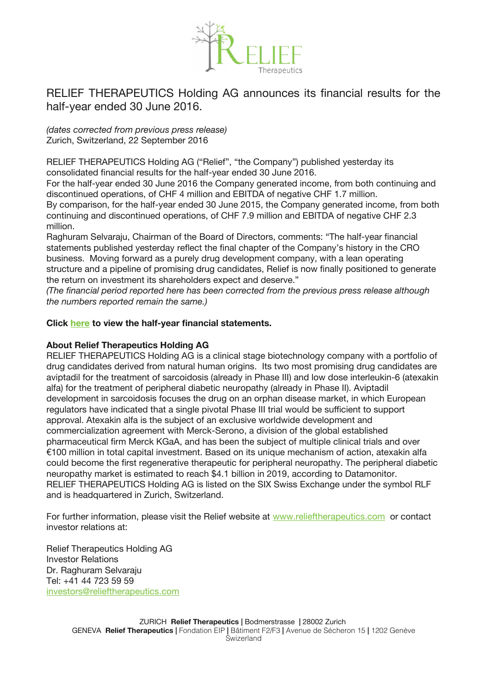

## RELIEF THERAPEUTICS Holding AG announces its fnancial results for the half-year ended 30 June 2016.

*(dates corrected from previous press release)* Zurich, Switzerland, 22 September 2016

RELIEF THERAPEUTICS Holding AG ("Relief", "the Company") published yesterday its consolidated fnancial results for the half-year ended 30 June 2016.

For the half-year ended 30 June 2016 the Company generated income, from both continuing and discontinued operations, of CHF 4 million and EBITDA of negative CHF 1.7 million.

By comparison, for the half-year ended 30 June 2015, the Company generated income, from both continuing and discontinued operations, of CHF 7.9 million and EBITDA of negative CHF 2.3 million.

Raghuram Selvaraju, Chairman of the Board of Directors, comments: "The half-year fnancial statements published yesterday refect the fnal chapter of the Company's history in the CRO business. Moving forward as a purely drug development company, with a lean operating structure and a pipeline of promising drug candidates, Relief is now finally positioned to generate the return on investment its shareholders expect and deserve."

*(The fnancial period reported here has been corrected from the previous press release although the numbers reported remain the same.)*

## **Click [here](http://www.relieftherapeutics.com/wp-content/uploads/2016/09/TMX-Financial-Statements-June-2016.pdf) to view the half-year fnancial statements.**

## **About Relief Therapeutics Holding AG**

RELIEF THERAPEUTICS Holding AG is a clinical stage biotechnology company with a portfolio of drug candidates derived from natural human origins. Its two most promising drug candidates are aviptadil for the treatment of sarcoidosis (already in Phase III) and low dose interleukin-6 (atexakin alfa) for the treatment of peripheral diabetic neuropathy (already in Phase II). Aviptadil development in sarcoidosis focuses the drug on an orphan disease market, in which European regulators have indicated that a single pivotal Phase III trial would be sufficient to support approval. Atexakin alfa is the subject of an exclusive worldwide development and commercialization agreement with Merck-Serono, a division of the global established pharmaceutical frm Merck KGaA, and has been the subject of multiple clinical trials and over €100 million in total capital investment. Based on its unique mechanism of action, atexakin alfa could become the frst regenerative therapeutic for peripheral neuropathy. The peripheral diabetic neuropathy market is estimated to reach \$4.1 billion in 2019, according to Datamonitor. RELIEF THERAPEUTICS Holding AG is listed on the SIX Swiss Exchange under the symbol RLF and is headquartered in Zurich, Switzerland.

For further information, please visit the Relief website at [www.relieftherapeutics.com](http://www.relieftherapeutics.com/) or contact investor relations at:

Relief Therapeutics Holding AG Investor Relations Dr. Raghuram Selvaraju Tel: +41 44 723 59 59 [investors@relieftherapeutics.com](mailto:investors@relieftherapeutics.com)